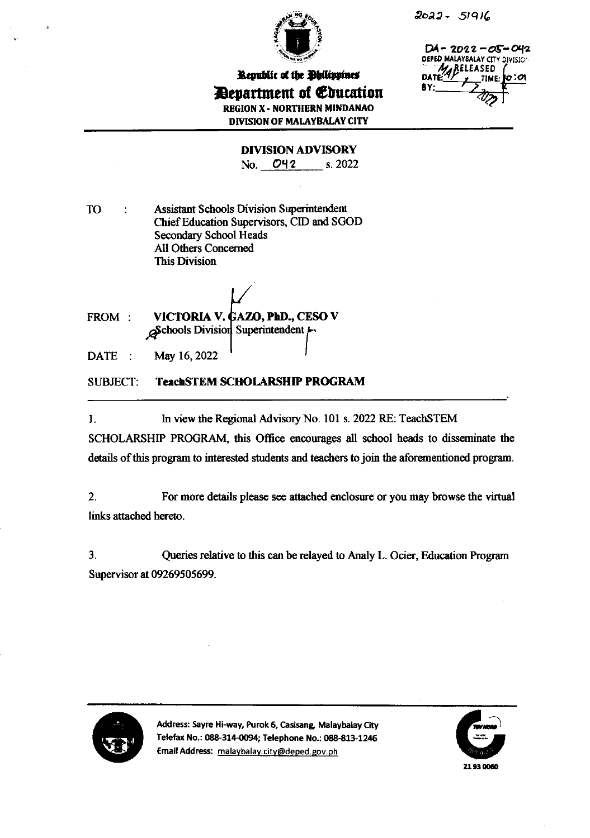

 $2022 - 51916$ 

 $DA - 2022 - OS - O42$ DEPED MALAYBALAY CITY DIVISION RELEASED **DA** TIME: OC COL

Republic of the Bhilippines Department of Education **REGION X - NORTHERN MINDANAO DIVISION OF MALAYBALAY CITY** 

**DIVISION ADVISORY** 

No. 042  $s. 2022$ 

**TO Assistant Schools Division Superintendent**  $\overline{1}$ Chief Education Supervisors, CID and SGOD **Secondary School Heads All Others Concerned This Division** 

FROM: VICTORIA V. GAZO, PhD., CESO V  $\beta$ Schools Division Superintendent  $\mu$ 

May 16, 2022 DATE:

**SUBJECT: TeachSTEM SCHOLARSHIP PROGRAM** 

In view the Regional Advisory No. 101 s. 2022 RE: TeachSTEM 1.

SCHOLARSHIP PROGRAM, this Office encourages all school heads to disseminate the details of this program to interested students and teachers to join the aforementioned program.

 $2.$ For more details please see attached enclosure or you may browse the virtual links attached hereto.

 $3.$ Queries relative to this can be relayed to Analy L. Ocier, Education Program Supervisor at 09269505699.



Address: Sayre Hi-way, Purok 6, Casisang, Malaybalay City Telefax No.: 088-314-0094; Telephone No.: 088-813-1246 Email Address: malaybalay.city@deped.gov.ph

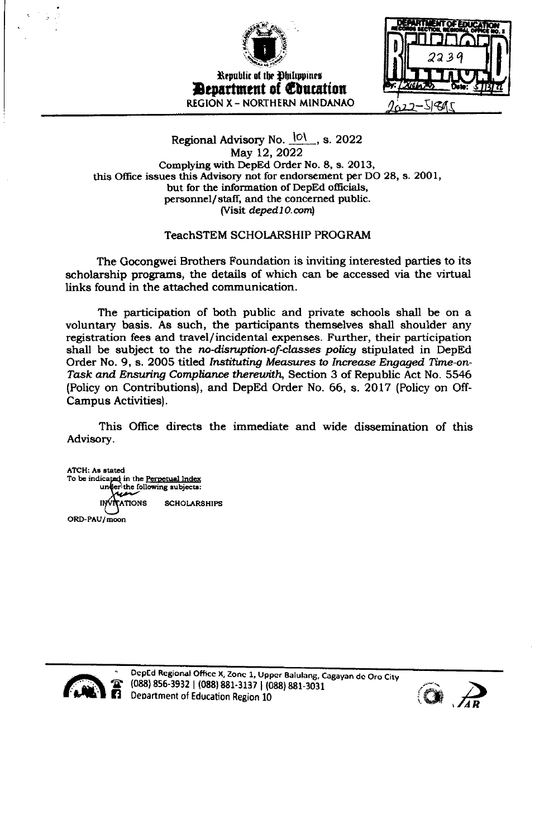

Republic of the Ohilippines **Bevartment of Education** REGION X - NORTHERN MINDANAO



## Regional Advisory No. 101, s. 2022 May 12, 2022 Complying with DepEd Order No. 8, s. 2013, this Office issues this Advisory not for endorsement per DO 28, s. 2001, but for the information of DepEd officials, personnel/staff, and the concerned public. (Visit deped10.com)

## TeachSTEM SCHOLARSHIP PROGRAM

The Gocongwei Brothers Foundation is inviting interested parties to its scholarship programs, the details of which can be accessed via the virtual links found in the attached communication.

The participation of both public and private schools shall be on a voluntary basis. As such, the participants themselves shall shoulder any registration fees and travel/incidental expenses. Further, their participation shall be subject to the no-disruption-of-classes policy stipulated in DepEd Order No. 9, s. 2005 titled Instituting Measures to Increase Engaged Time-on-Task and Ensuring Compliance therewith, Section 3 of Republic Act No. 5546 (Policy on Contributions), and DepEd Order No. 66, s. 2017 (Policy on Off-Campus Activities).

This Office directs the immediate and wide dissemination of this Advisory.

ATCH: As stated To be indicated in the Perpetual Index er the following subjects: uni **ATIONS SCHOLARSHIPS** ORD-PAU/moon



DepEd Regional Office X, Zone 1, Upper Balulang, Cagayan de Oro City  $\bullet$  (088) 856-3932 | (088) 881-3137 | (088) 881-3031 **2** Department of Education Region 10